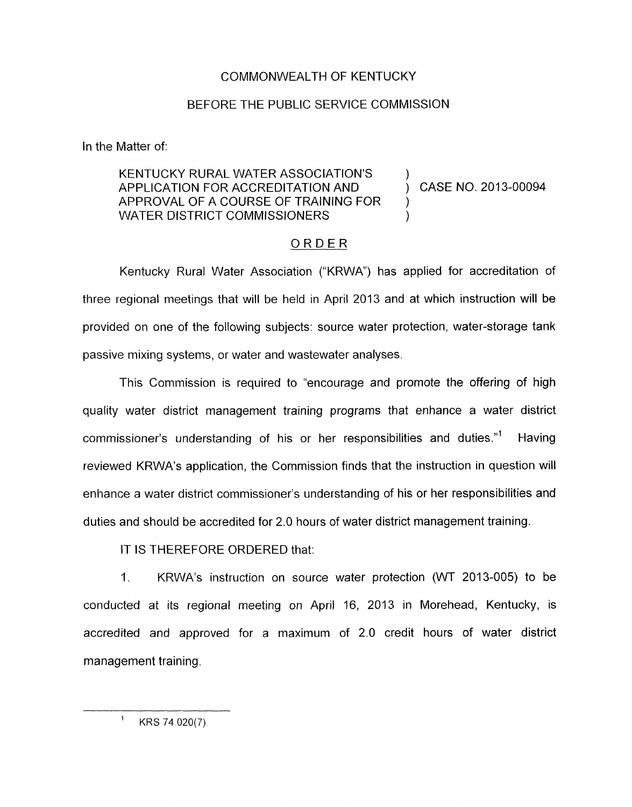## COMMONWEALTH OF KENTUCKY

## BEFORE THE PUBLIC SERVICE COMMISSION

In the Matter of:

## KENTUCKY RURAL WATER ASSOCIATION'S APPLICATION FOR ACCREDITATION AND ) CASE NO. 2013-00094 APPROVAL OF A COURSE OF TRAINING FOR WATER DISTRICT COMMISSIONERS

)

## ORDER

Kentucky Rural Water Association ("KRWA") has applied for accreditation of three regional meetings that will be held in April 2013 and at which instruction will be provided on one of the following subjects: source water protection, water-storage tank passive mixing systems, or water and wastewater analyses.

This Commission is required to "encourage and promote the offering of high quality water district management training programs that enhance a water district commissioner's understanding of his or her responsibilities and duties."' Having reviewed KRWA's application, the Commission finds that the instruction in question will enhance a water district commissioner's understanding of his or her responsibilities and duties and should be accredited for 2.0 hours of water district management training.

IT IS THEREFORE ORDERED that:

1. KRWA's instruction on source water protection (WT 2013-005) to be conducted at its regional meeting on April 16, 2013 in Morehead, Kentucky, is accredited and approved for a maximum of 2.0 credit hours of water district management training.

 $^1$  KRS 74.020(7).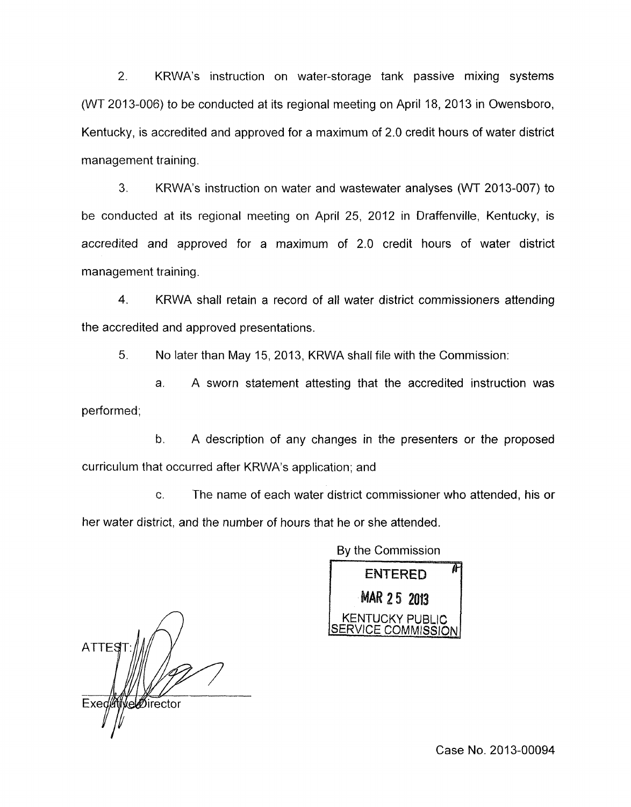2. KRWA's instruction on water-storage tank passive mixing systems (WT 2013-006) to be conducted at its regional meeting on April 18, 2013 in Owensboro, Kentucky, is accredited and approved for a maximum of 2.0 credit hours of water district management training.

3. KRWA's instruction on water and wastewater analyses (WT 2013-007) to be conducted at its regional meeting on April 25, 2012 in Draffenville, Kentucky, is accredited and approved for a maximum of 2.0 credit hours of water district management training.

4. KRWA shall retain a record of all water district commissioners attending the accredited and approved presentations.

*5.* No later than May 15, 2013, KRWA shall file with the Commission:

a. A sworn statement attesting that the accredited instruction was performed;

b. A description of any changes in the presenters or the proposed curriculum that occurred after KRWA's application; and

C. The name of each water district commissioner who attended, his or her water district, and the number of hours that he or she attended.

| By the Commission  |                                       |
|--------------------|---------------------------------------|
| <b>ENTERED</b>     |                                       |
| <b>MAR 25 2013</b> |                                       |
|                    |                                       |
|                    | KENTUCKY PUBLIC<br>SERVICE COMMISSION |

**ATTES** Exed we birector

Case No. 2013-00094